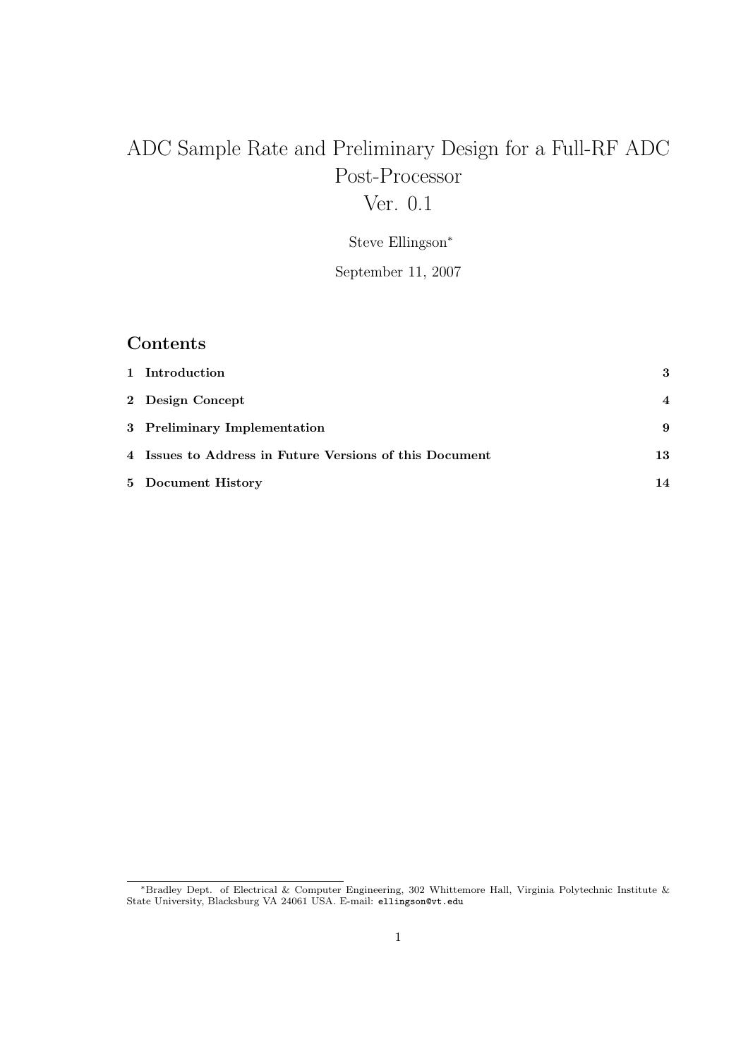# ADC Sample Rate and Preliminary Design for a Full-RF ADC Post-Processor

## Ver. 0.1

Steve Ellingson<sup>∗</sup>

September 11, 2007

### Contents

| 1 Introduction                                          | 3                |
|---------------------------------------------------------|------------------|
| 2 Design Concept                                        | $\boldsymbol{4}$ |
| 3 Preliminary Implementation                            | 9                |
| 4 Issues to Address in Future Versions of this Document | 13               |
| 5 Document History                                      | 14               |

<sup>∗</sup>Bradley Dept. of Electrical & Computer Engineering, 302 Whittemore Hall, Virginia Polytechnic Institute & State University, Blacksburg VA 24061 USA. E-mail: ellingson@vt.edu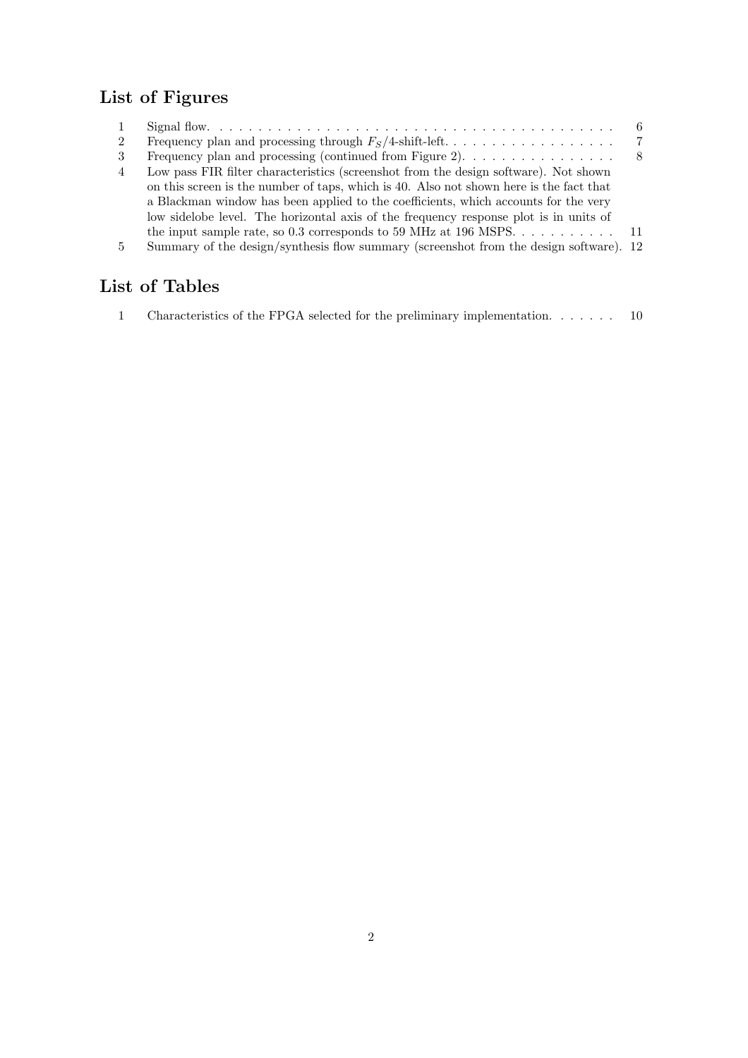## List of Figures

|                |                                                                                          | 6  |
|----------------|------------------------------------------------------------------------------------------|----|
| 2              |                                                                                          | -7 |
| 3              | Frequency plan and processing (continued from Figure 2). $\dots \dots \dots \dots \dots$ |    |
| $\overline{4}$ | Low pass FIR filter characteristics (screenshot from the design software). Not shown     |    |
|                | on this screen is the number of taps, which is 40. Also not shown here is the fact that  |    |
|                | a Blackman window has been applied to the coefficients, which accounts for the very      |    |
|                | low sidelobe level. The horizontal axis of the frequency response plot is in units of    |    |
|                | the input sample rate, so 0.3 corresponds to 59 MHz at 196 MSPS 11                       |    |
| .5             | Summary of the design/synthesis flow summary (screenshot from the design software). 12   |    |
|                |                                                                                          |    |

## List of Tables

1 Characteristics of the FPGA selected for the preliminary implementation. . . . . . . 10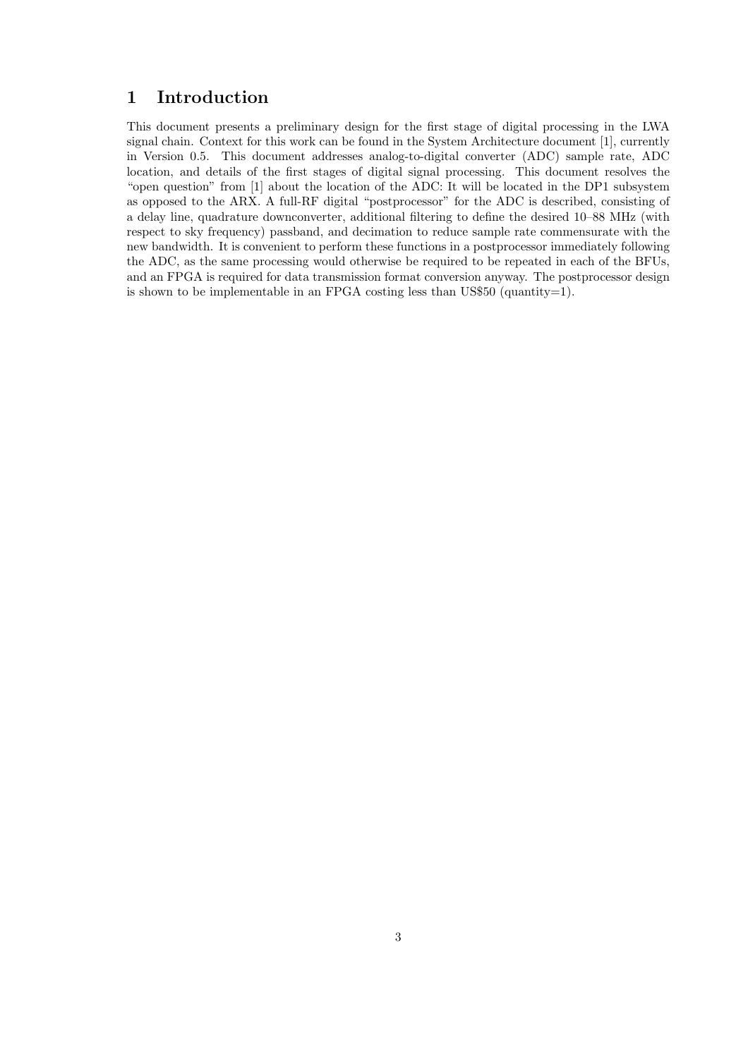#### 1 Introduction

This document presents a preliminary design for the first stage of digital processing in the LWA signal chain. Context for this work can be found in the System Architecture document [1], currently in Version 0.5. This document addresses analog-to-digital converter (ADC) sample rate, ADC location, and details of the first stages of digital signal processing. This document resolves the "open question" from [1] about the location of the ADC: It will be located in the DP1 subsystem as opposed to the ARX. A full-RF digital "postprocessor" for the ADC is described, consisting of a delay line, quadrature downconverter, additional filtering to define the desired 10–88 MHz (with respect to sky frequency) passband, and decimation to reduce sample rate commensurate with the new bandwidth. It is convenient to perform these functions in a postprocessor immediately following the ADC, as the same processing would otherwise be required to be repeated in each of the BFUs, and an FPGA is required for data transmission format conversion anyway. The postprocessor design is shown to be implementable in an FPGA costing less than US\$50 (quantity=1).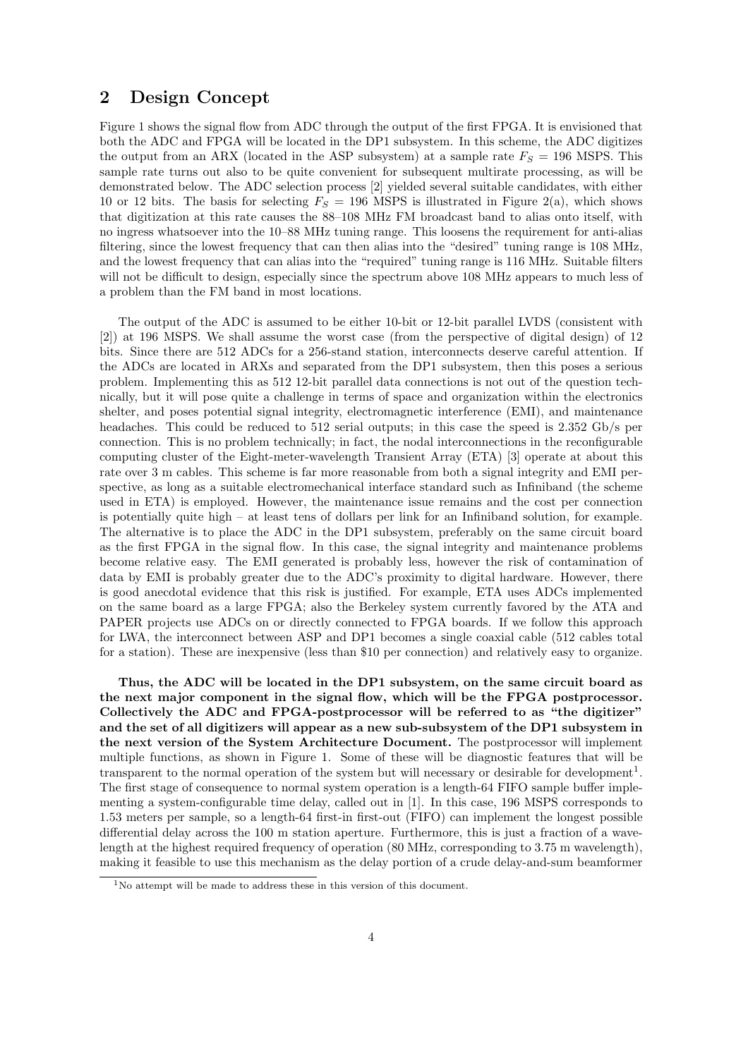#### 2 Design Concept

Figure 1 shows the signal flow from ADC through the output of the first FPGA. It is envisioned that both the ADC and FPGA will be located in the DP1 subsystem. In this scheme, the ADC digitizes the output from an ARX (located in the ASP subsystem) at a sample rate  $F<sub>S</sub> = 196$  MSPS. This sample rate turns out also to be quite convenient for subsequent multirate processing, as will be demonstrated below. The ADC selection process [2] yielded several suitable candidates, with either 10 or 12 bits. The basis for selecting  $F_S = 196$  MSPS is illustrated in Figure 2(a), which shows that digitization at this rate causes the 88–108 MHz FM broadcast band to alias onto itself, with no ingress whatsoever into the 10–88 MHz tuning range. This loosens the requirement for anti-alias filtering, since the lowest frequency that can then alias into the "desired" tuning range is 108 MHz, and the lowest frequency that can alias into the "required" tuning range is 116 MHz. Suitable filters will not be difficult to design, especially since the spectrum above 108 MHz appears to much less of a problem than the FM band in most locations.

The output of the ADC is assumed to be either 10-bit or 12-bit parallel LVDS (consistent with [2]) at 196 MSPS. We shall assume the worst case (from the perspective of digital design) of 12 bits. Since there are 512 ADCs for a 256-stand station, interconnects deserve careful attention. If the ADCs are located in ARXs and separated from the DP1 subsystem, then this poses a serious problem. Implementing this as 512 12-bit parallel data connections is not out of the question technically, but it will pose quite a challenge in terms of space and organization within the electronics shelter, and poses potential signal integrity, electromagnetic interference (EMI), and maintenance headaches. This could be reduced to 512 serial outputs; in this case the speed is 2.352 Gb/s per connection. This is no problem technically; in fact, the nodal interconnections in the reconfigurable computing cluster of the Eight-meter-wavelength Transient Array (ETA) [3] operate at about this rate over 3 m cables. This scheme is far more reasonable from both a signal integrity and EMI perspective, as long as a suitable electromechanical interface standard such as Infiniband (the scheme used in ETA) is employed. However, the maintenance issue remains and the cost per connection is potentially quite high – at least tens of dollars per link for an Infiniband solution, for example. The alternative is to place the ADC in the DP1 subsystem, preferably on the same circuit board as the first FPGA in the signal flow. In this case, the signal integrity and maintenance problems become relative easy. The EMI generated is probably less, however the risk of contamination of data by EMI is probably greater due to the ADC's proximity to digital hardware. However, there is good anecdotal evidence that this risk is justified. For example, ETA uses ADCs implemented on the same board as a large FPGA; also the Berkeley system currently favored by the ATA and PAPER projects use ADCs on or directly connected to FPGA boards. If we follow this approach for LWA, the interconnect between ASP and DP1 becomes a single coaxial cable (512 cables total for a station). These are inexpensive (less than \$10 per connection) and relatively easy to organize.

Thus, the ADC will be located in the DP1 subsystem, on the same circuit board as the next major component in the signal flow, which will be the FPGA postprocessor. Collectively the ADC and FPGA-postprocessor will be referred to as "the digitizer" and the set of all digitizers will appear as a new sub-subsystem of the DP1 subsystem in the next version of the System Architecture Document. The postprocessor will implement multiple functions, as shown in Figure 1. Some of these will be diagnostic features that will be transparent to the normal operation of the system but will necessary or desirable for development<sup>1</sup>. The first stage of consequence to normal system operation is a length-64 FIFO sample buffer implementing a system-configurable time delay, called out in [1]. In this case, 196 MSPS corresponds to 1.53 meters per sample, so a length-64 first-in first-out (FIFO) can implement the longest possible differential delay across the 100 m station aperture. Furthermore, this is just a fraction of a wavelength at the highest required frequency of operation (80 MHz, corresponding to 3.75 m wavelength), making it feasible to use this mechanism as the delay portion of a crude delay-and-sum beamformer

 $1$ No attempt will be made to address these in this version of this document.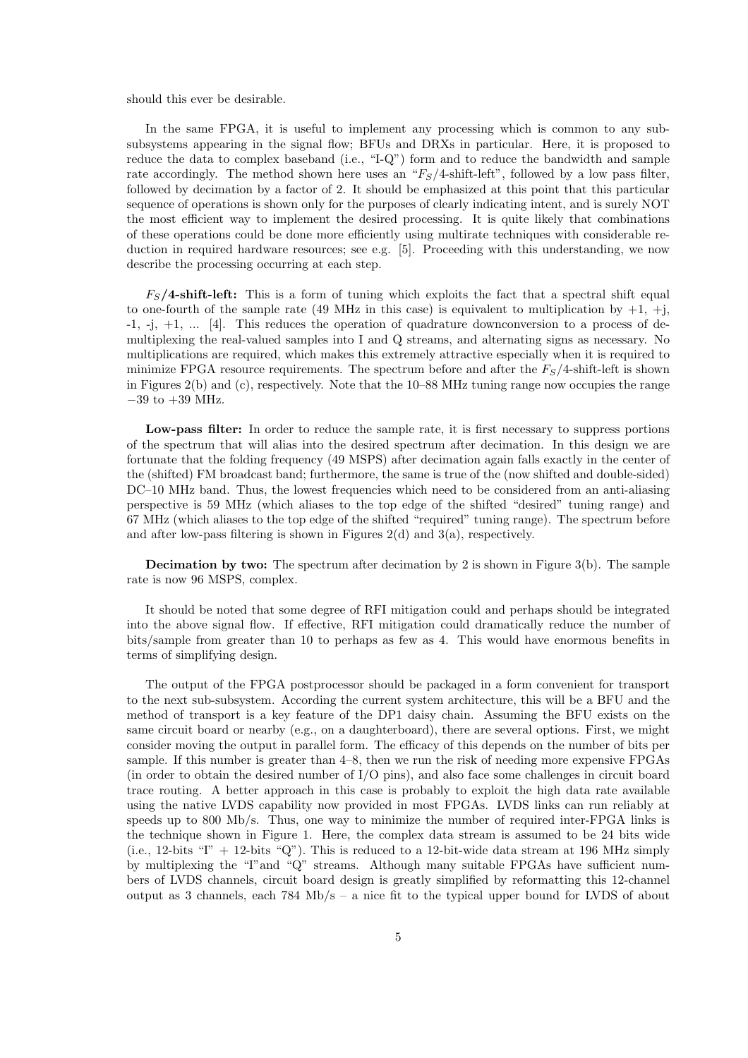should this ever be desirable.

In the same FPGA, it is useful to implement any processing which is common to any subsubsystems appearing in the signal flow; BFUs and DRXs in particular. Here, it is proposed to reduce the data to complex baseband (i.e., "I-Q") form and to reduce the bandwidth and sample rate accordingly. The method shown here uses an " $F<sub>S</sub>/4$ -shift-left", followed by a low pass filter, followed by decimation by a factor of 2. It should be emphasized at this point that this particular sequence of operations is shown only for the purposes of clearly indicating intent, and is surely NOT the most efficient way to implement the desired processing. It is quite likely that combinations of these operations could be done more efficiently using multirate techniques with considerable reduction in required hardware resources; see e.g. [5]. Proceeding with this understanding, we now describe the processing occurring at each step.

 $F<sub>S</sub>/4$ -shift-left: This is a form of tuning which exploits the fact that a spectral shift equal to one-fourth of the sample rate (49 MHz in this case) is equivalent to multiplication by  $+1$ ,  $+j$ , -1, -j, +1, ... [4]. This reduces the operation of quadrature downconversion to a process of demultiplexing the real-valued samples into I and Q streams, and alternating signs as necessary. No multiplications are required, which makes this extremely attractive especially when it is required to minimize FPGA resource requirements. The spectrum before and after the  $F<sub>S</sub>/4$ -shift-left is shown in Figures 2(b) and (c), respectively. Note that the 10–88 MHz tuning range now occupies the range  $-39$  to  $+39$  MHz.

Low-pass filter: In order to reduce the sample rate, it is first necessary to suppress portions of the spectrum that will alias into the desired spectrum after decimation. In this design we are fortunate that the folding frequency (49 MSPS) after decimation again falls exactly in the center of the (shifted) FM broadcast band; furthermore, the same is true of the (now shifted and double-sided) DC–10 MHz band. Thus, the lowest frequencies which need to be considered from an anti-aliasing perspective is 59 MHz (which aliases to the top edge of the shifted "desired" tuning range) and 67 MHz (which aliases to the top edge of the shifted "required" tuning range). The spectrum before and after low-pass filtering is shown in Figures  $2(d)$  and  $3(a)$ , respectively.

Decimation by two: The spectrum after decimation by 2 is shown in Figure 3(b). The sample rate is now 96 MSPS, complex.

It should be noted that some degree of RFI mitigation could and perhaps should be integrated into the above signal flow. If effective, RFI mitigation could dramatically reduce the number of bits/sample from greater than 10 to perhaps as few as 4. This would have enormous benefits in terms of simplifying design.

The output of the FPGA postprocessor should be packaged in a form convenient for transport to the next sub-subsystem. According the current system architecture, this will be a BFU and the method of transport is a key feature of the DP1 daisy chain. Assuming the BFU exists on the same circuit board or nearby (e.g., on a daughterboard), there are several options. First, we might consider moving the output in parallel form. The efficacy of this depends on the number of bits per sample. If this number is greater than 4–8, then we run the risk of needing more expensive FPGAs (in order to obtain the desired number of I/O pins), and also face some challenges in circuit board trace routing. A better approach in this case is probably to exploit the high data rate available using the native LVDS capability now provided in most FPGAs. LVDS links can run reliably at speeds up to 800 Mb/s. Thus, one way to minimize the number of required inter-FPGA links is the technique shown in Figure 1. Here, the complex data stream is assumed to be 24 bits wide (i.e., 12-bits " $\Gamma$ " + 12-bits "Q"). This is reduced to a 12-bit-wide data stream at 196 MHz simply by multiplexing the "I"and "Q" streams. Although many suitable FPGAs have sufficient numbers of LVDS channels, circuit board design is greatly simplified by reformatting this 12-channel output as 3 channels, each  $784 \text{ Mb/s} - \text{a}$  nice fit to the typical upper bound for LVDS of about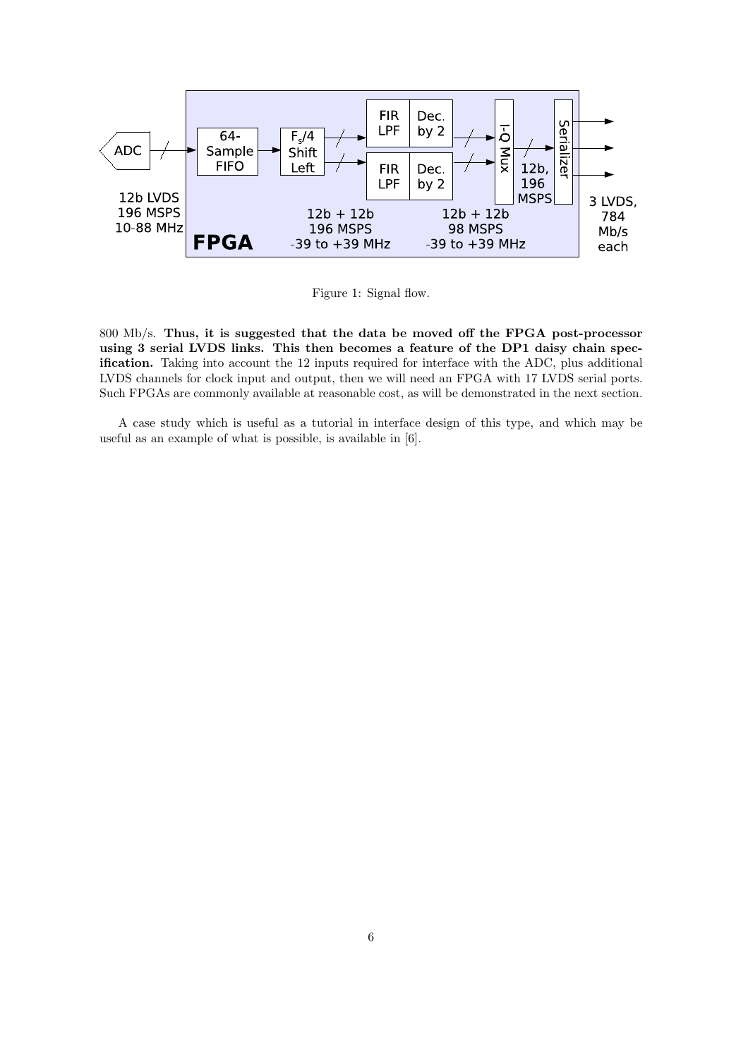

Figure 1: Signal flow.

800 Mb/s. Thus, it is suggested that the data be moved off the FPGA post-processor using 3 serial LVDS links. This then becomes a feature of the DP1 daisy chain specification. Taking into account the 12 inputs required for interface with the ADC, plus additional LVDS channels for clock input and output, then we will need an FPGA with 17 LVDS serial ports. Such FPGAs are commonly available at reasonable cost, as will be demonstrated in the next section.

A case study which is useful as a tutorial in interface design of this type, and which may be useful as an example of what is possible, is available in [6].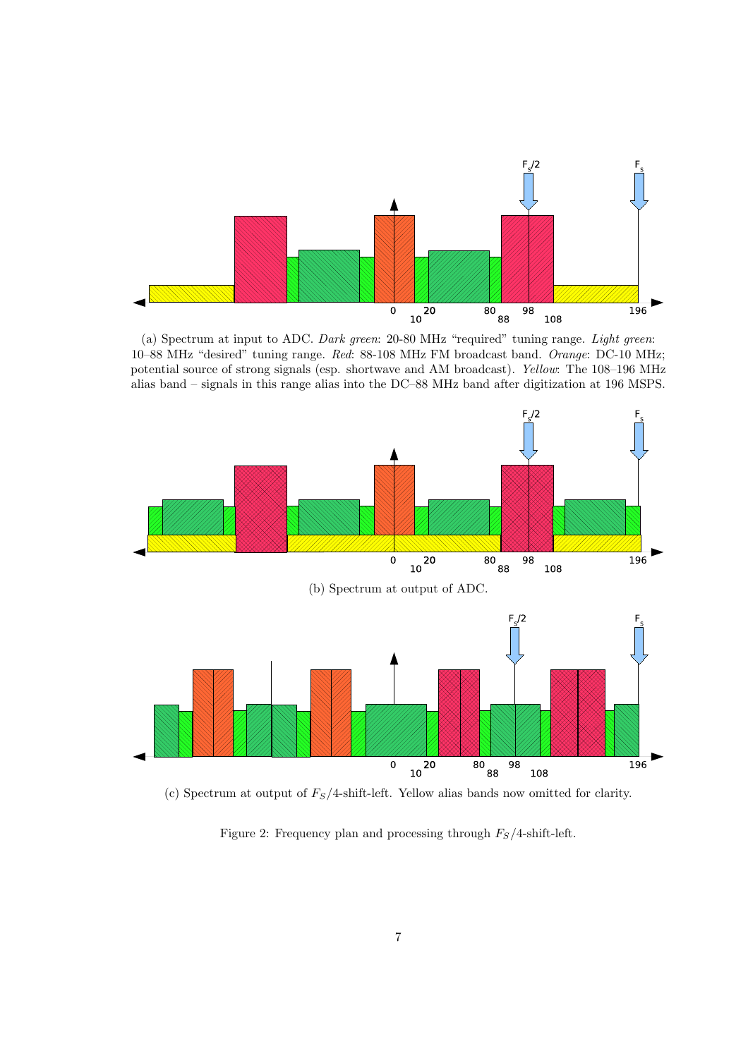

(a) Spectrum at input to ADC. Dark green: 20-80 MHz "required" tuning range. Light green: 10–88 MHz "desired" tuning range. Red: 88-108 MHz FM broadcast band. Orange: DC-10 MHz; potential source of strong signals (esp. shortwave and AM broadcast). Yellow: The 108–196 MHz alias band – signals in this range alias into the DC–88 MHz band after digitization at 196 MSPS.



(c) Spectrum at output of  $F_S/4$ -shift-left. Yellow alias bands now omitted for clarity.

Figure 2: Frequency plan and processing through  $F_S/4$ -shift-left.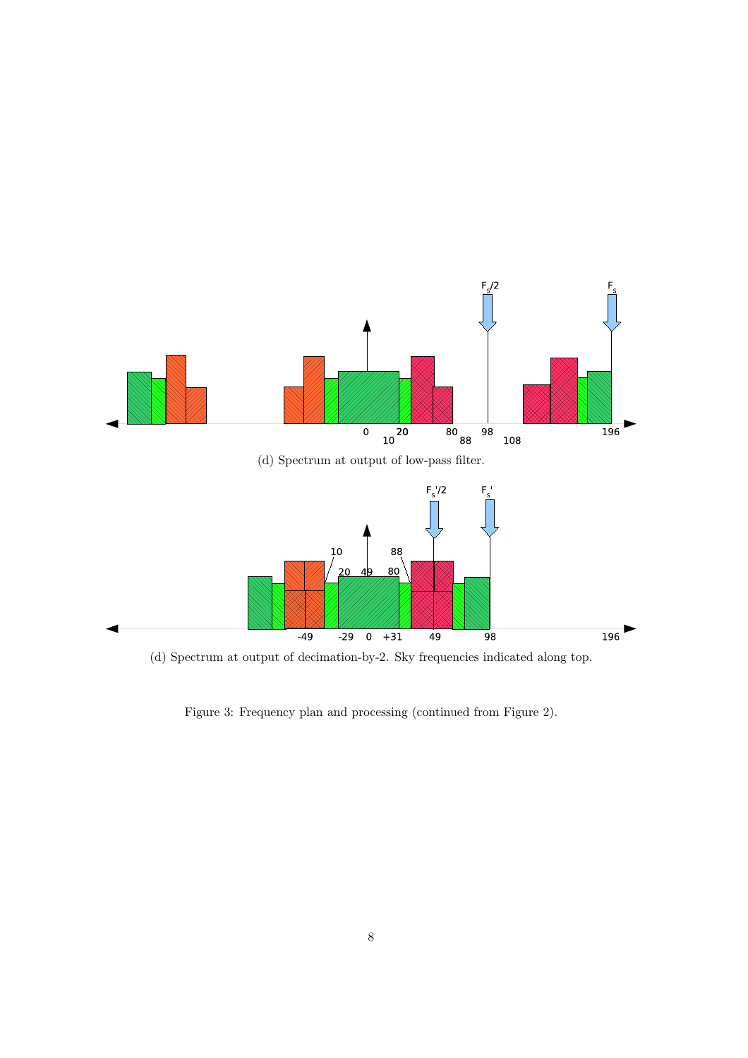

(d) Spectrum at output of decimation-by-2. Sky frequencies indicated along top.

Figure 3: Frequency plan and processing (continued from Figure 2).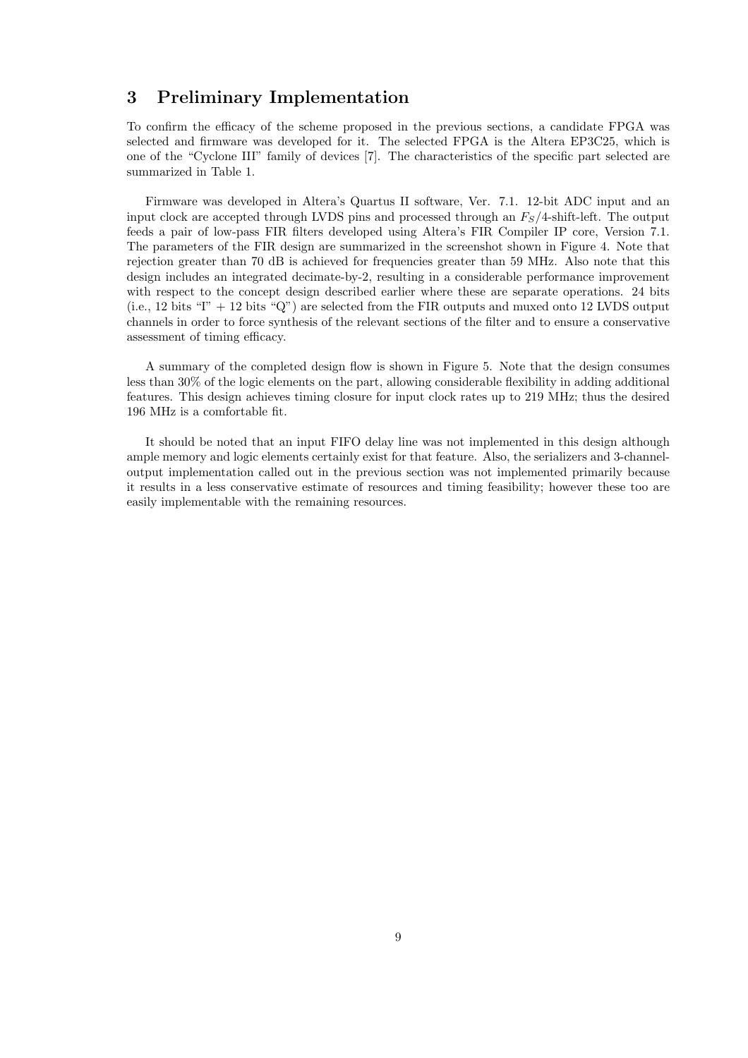#### 3 Preliminary Implementation

To confirm the efficacy of the scheme proposed in the previous sections, a candidate FPGA was selected and firmware was developed for it. The selected FPGA is the Altera EP3C25, which is one of the "Cyclone III" family of devices [7]. The characteristics of the specific part selected are summarized in Table 1.

Firmware was developed in Altera's Quartus II software, Ver. 7.1. 12-bit ADC input and an input clock are accepted through LVDS pins and processed through an  $F<sub>S</sub>/4$ -shift-left. The output feeds a pair of low-pass FIR filters developed using Altera's FIR Compiler IP core, Version 7.1. The parameters of the FIR design are summarized in the screenshot shown in Figure 4. Note that rejection greater than 70 dB is achieved for frequencies greater than 59 MHz. Also note that this design includes an integrated decimate-by-2, resulting in a considerable performance improvement with respect to the concept design described earlier where these are separate operations. 24 bits (i.e., 12 bits " $T' + 12$  bits " $Q''$ ) are selected from the FIR outputs and muxed onto 12 LVDS output channels in order to force synthesis of the relevant sections of the filter and to ensure a conservative assessment of timing efficacy.

A summary of the completed design flow is shown in Figure 5. Note that the design consumes less than 30% of the logic elements on the part, allowing considerable flexibility in adding additional features. This design achieves timing closure for input clock rates up to 219 MHz; thus the desired 196 MHz is a comfortable fit.

It should be noted that an input FIFO delay line was not implemented in this design although ample memory and logic elements certainly exist for that feature. Also, the serializers and 3-channeloutput implementation called out in the previous section was not implemented primarily because it results in a less conservative estimate of resources and timing feasibility; however these too are easily implementable with the remaining resources.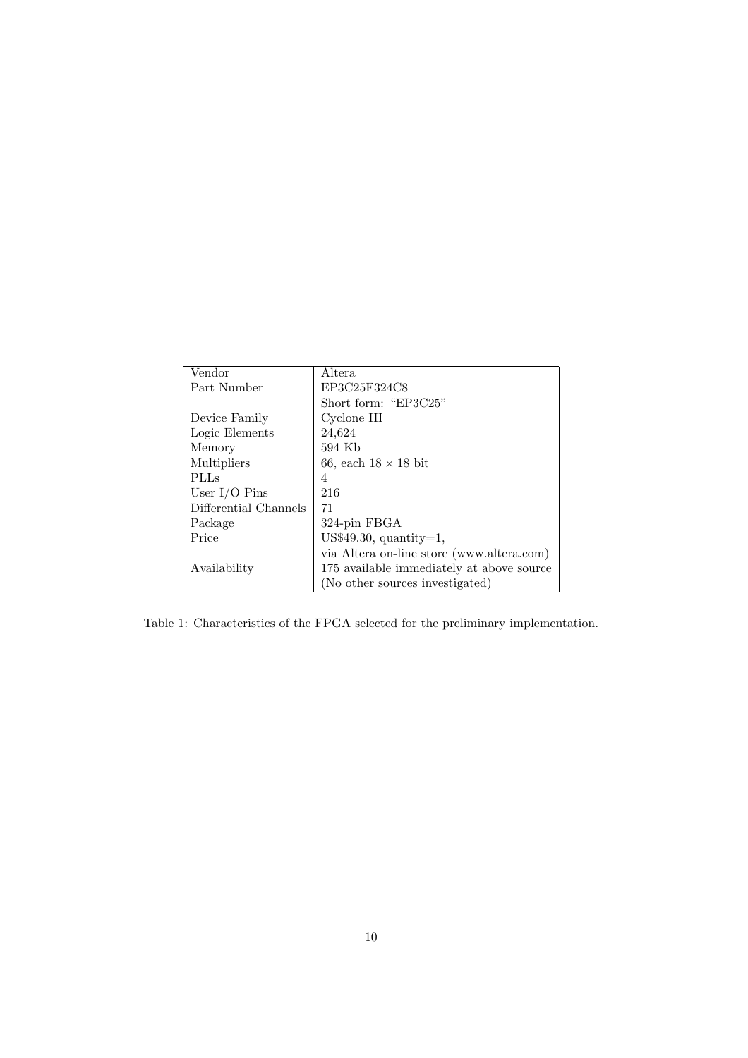| Vendor                | Altera                                    |  |
|-----------------------|-------------------------------------------|--|
| Part Number           | EP3C25F324C8                              |  |
|                       | Short form: "EP3C25"                      |  |
| Device Family         | Cyclone III                               |  |
| Logic Elements        | 24,624                                    |  |
| Memory                | 594 Kb                                    |  |
| Multipliers           | 66, each $18 \times 18$ bit               |  |
| <b>PLLs</b>           | 4                                         |  |
| User $I/O$ Pins       | 216                                       |  |
| Differential Channels | 71                                        |  |
| Package               | 324-pin FBGA                              |  |
| Price                 | US\$49.30, quantity= $1$ ,                |  |
|                       | via Altera on-line store (www.altera.com) |  |
| Availability          | 175 available immediately at above source |  |
|                       | (No other sources investigated)           |  |

Table 1: Characteristics of the FPGA selected for the preliminary implementation.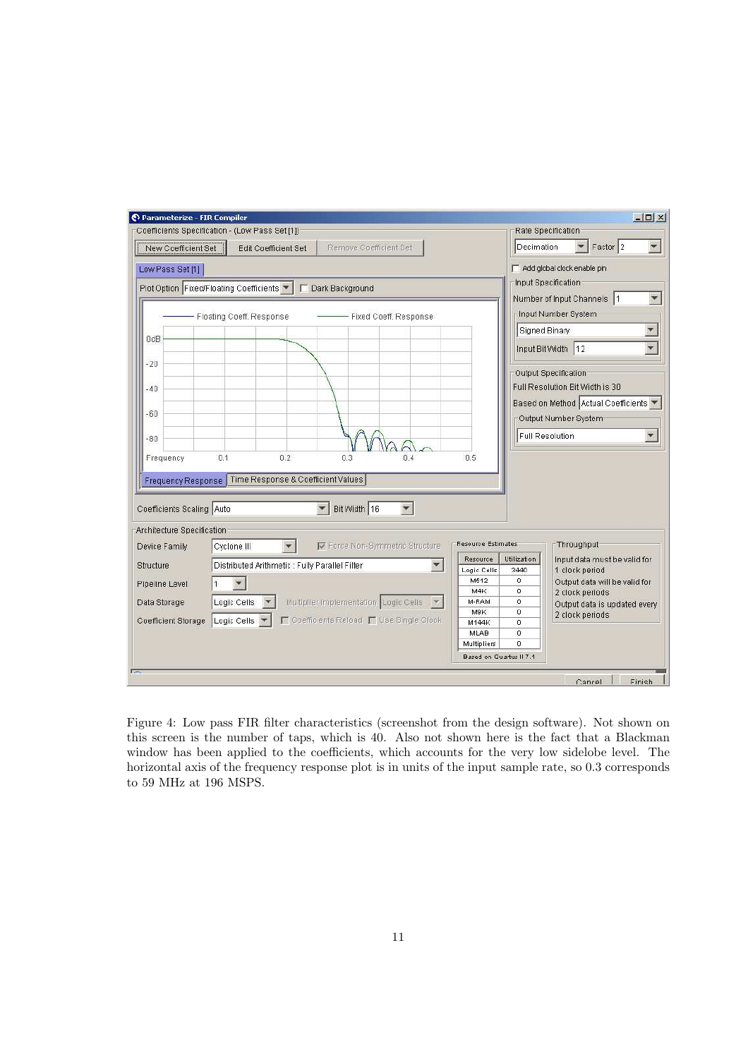

Figure 4: Low pass FIR filter characteristics (screenshot from the design software). Not shown on this screen is the number of taps, which is 40. Also not shown here is the fact that a Blackman window has been applied to the coefficients, which accounts for the very low sidelobe level. The horizontal axis of the frequency response plot is in units of the input sample rate, so 0.3 corresponds to 59 MHz at 196 MSPS.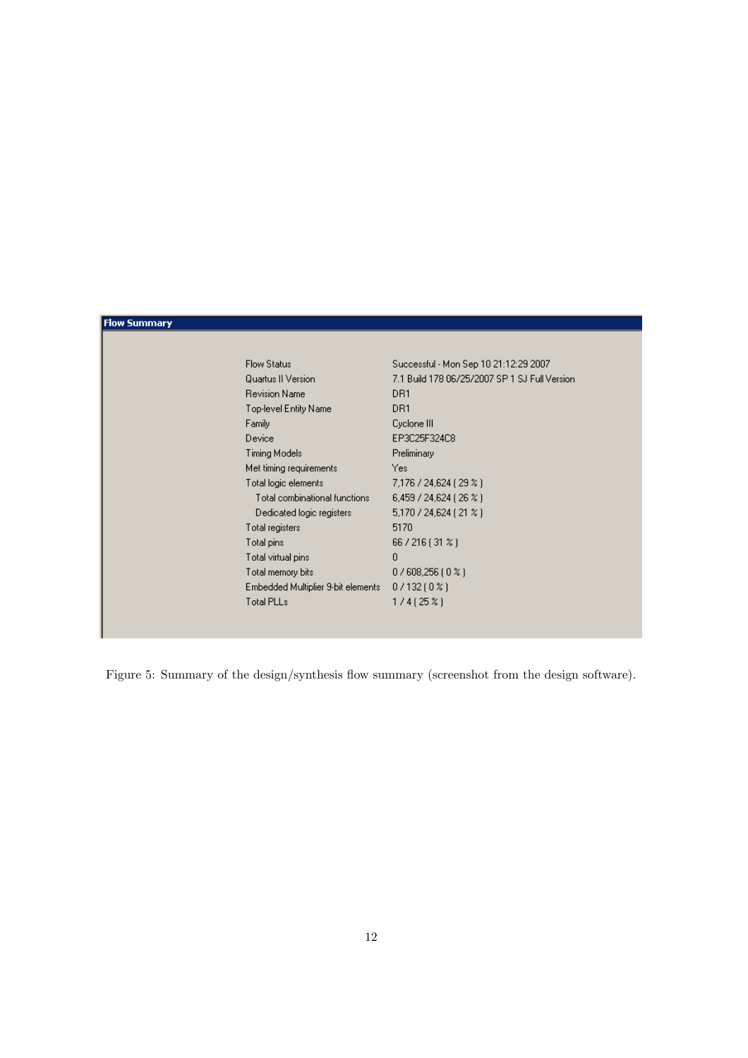#### **Flow Summary**

| <b>Flow Status</b>                 | Successful - Mon Sep 10 21:12:29 2007         |
|------------------------------------|-----------------------------------------------|
| Quartus II Version                 | 7.1 Build 178 06/25/2007 SP 1 SJ Full Version |
| <b>Revision Name</b>               | DR1                                           |
| Top-level Entity Name              | DR1                                           |
| Family                             | Cyclone III                                   |
| Device                             | EP3C25F324C8                                  |
| Timing Models                      | Preliminary                                   |
| Met timing requirements            | Yes:                                          |
| Total logic elements               | 7,176 / 24,624 (29 %)                         |
| Total combinational functions      | 6,459/24,624(26%)                             |
| Dedicated logic registers          | 5,170 / 24,624 (21 %)                         |
| Total registers                    | 5170                                          |
| Total pins                         | 66 / 216 (31 %)                               |
| Total virtual pins                 | $\mathbf{0}$                                  |
| Total memory bits                  | $0/608,256(0\%)$                              |
| Embedded Multiplier 9-bit elements | $0/132(0\%)$                                  |
| <b>Total PLLs</b>                  | 1/4 (25 %)                                    |

Figure 5: Summary of the design/synthesis flow summary (screenshot from the design software).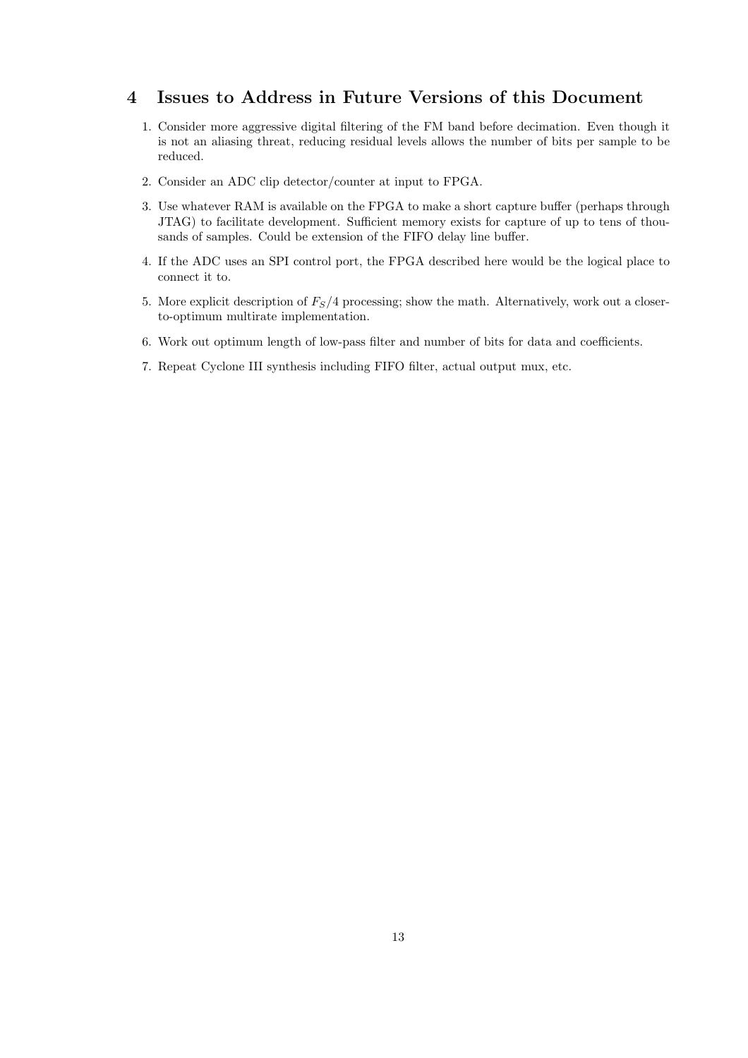#### 4 Issues to Address in Future Versions of this Document

- 1. Consider more aggressive digital filtering of the FM band before decimation. Even though it is not an aliasing threat, reducing residual levels allows the number of bits per sample to be reduced.
- 2. Consider an ADC clip detector/counter at input to FPGA.
- 3. Use whatever RAM is available on the FPGA to make a short capture buffer (perhaps through JTAG) to facilitate development. Sufficient memory exists for capture of up to tens of thousands of samples. Could be extension of the FIFO delay line buffer.
- 4. If the ADC uses an SPI control port, the FPGA described here would be the logical place to connect it to.
- 5. More explicit description of  $F<sub>S</sub>/4$  processing; show the math. Alternatively, work out a closerto-optimum multirate implementation.
- 6. Work out optimum length of low-pass filter and number of bits for data and coefficients.
- 7. Repeat Cyclone III synthesis including FIFO filter, actual output mux, etc.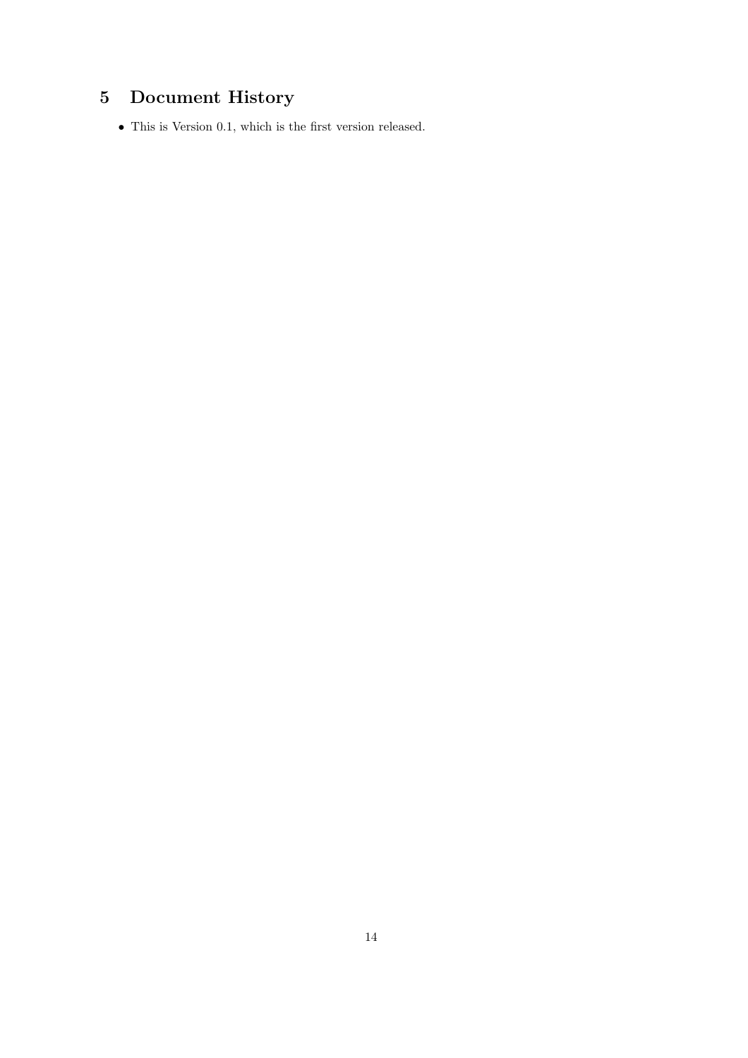## 5 Document History

 $\bullet\,$  This is Version 0.1, which is the first version released.